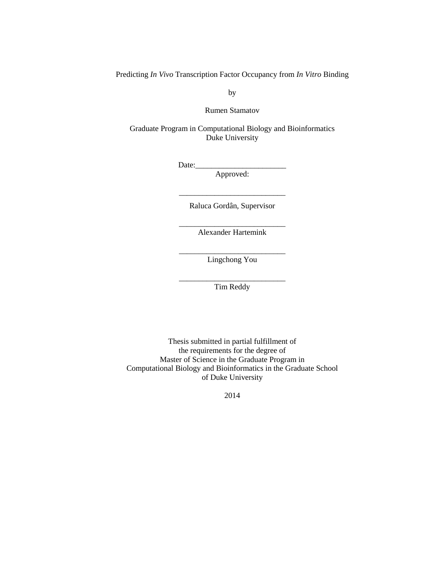Predicting *In Vivo* Transcription Factor Occupancy from *In Vitro* Binding

by

Rumen Stamatov

Graduate Program in Computational Biology and Bioinformatics Duke University

 $Date:$ 

Approved:

\_\_\_\_\_\_\_\_\_\_\_\_\_\_\_\_\_\_\_\_\_\_\_\_\_\_\_ Raluca Gordân, Supervisor

\_\_\_\_\_\_\_\_\_\_\_\_\_\_\_\_\_\_\_\_\_\_\_\_\_\_\_ Alexander Hartemink

\_\_\_\_\_\_\_\_\_\_\_\_\_\_\_\_\_\_\_\_\_\_\_\_\_\_\_ Lingchong You

\_\_\_\_\_\_\_\_\_\_\_\_\_\_\_\_\_\_\_\_\_\_\_\_\_\_\_ Tim Reddy

Thesis submitted in partial fulfillment of the requirements for the degree of Master of Science in the Graduate Program in Computational Biology and Bioinformatics in the Graduate School of Duke University

2014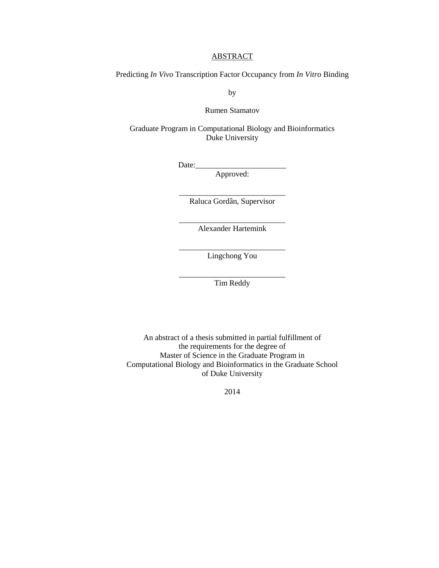#### **ABSTRACT**

Predicting *In Vivo* Transcription Factor Occupancy from *In Vitro* Binding

by

Rumen Stamatov

Graduate Program in Computational Biology and Bioinformatics Duke University

 $Date:$ 

Approved:

\_\_\_\_\_\_\_\_\_\_\_\_\_\_\_\_\_\_\_\_\_\_\_\_\_\_\_ Raluca Gordân, Supervisor

\_\_\_\_\_\_\_\_\_\_\_\_\_\_\_\_\_\_\_\_\_\_\_\_\_\_\_ Alexander Hartemink

\_\_\_\_\_\_\_\_\_\_\_\_\_\_\_\_\_\_\_\_\_\_\_\_\_\_\_ Lingchong You

\_\_\_\_\_\_\_\_\_\_\_\_\_\_\_\_\_\_\_\_\_\_\_\_\_\_\_ Tim Reddy

An abstract of a thesis submitted in partial fulfillment of the requirements for the degree of Master of Science in the Graduate Program in Computational Biology and Bioinformatics in the Graduate School of Duke University

2014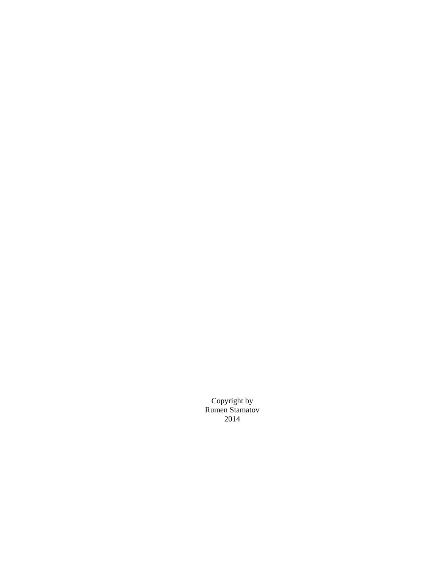Copyright by Rumen Stamatov 2014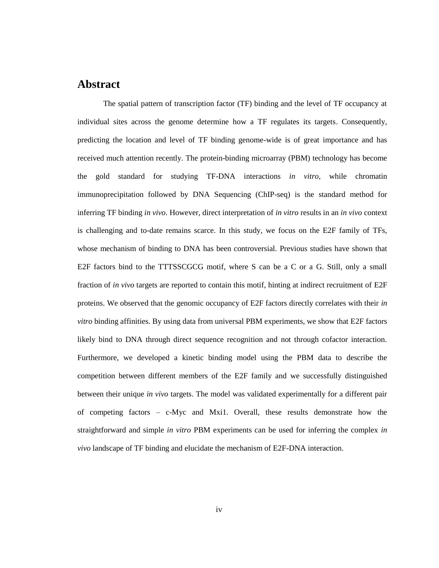## <span id="page-3-0"></span>**Abstract**

The spatial pattern of transcription factor (TF) binding and the level of TF occupancy at individual sites across the genome determine how a TF regulates its targets. Consequently, predicting the location and level of TF binding genome-wide is of great importance and has received much attention recently. The protein-binding microarray (PBM) technology has become the gold standard for studying TF-DNA interactions *in vitro*, while chromatin immunoprecipitation followed by DNA Sequencing (ChIP-seq) is the standard method for inferring TF binding *in vivo*. However, direct interpretation of *in vitro* results in an *in vivo* context is challenging and to-date remains scarce. In this study, we focus on the E2F family of TFs, whose mechanism of binding to DNA has been controversial. Previous studies have shown that E2F factors bind to the TTTSSCGCG motif, where S can be a C or a G. Still, only a small fraction of *in vivo* targets are reported to contain this motif, hinting at indirect recruitment of E2F proteins. We observed that the genomic occupancy of E2F factors directly correlates with their *in vitro* binding affinities. By using data from universal PBM experiments, we show that E2F factors likely bind to DNA through direct sequence recognition and not through cofactor interaction. Furthermore, we developed a kinetic binding model using the PBM data to describe the competition between different members of the E2F family and we successfully distinguished between their unique *in vivo* targets. The model was validated experimentally for a different pair of competing factors – c-Myc and Mxi1. Overall, these results demonstrate how the straightforward and simple *in vitro* PBM experiments can be used for inferring the complex *in vivo* landscape of TF binding and elucidate the mechanism of E2F-DNA interaction.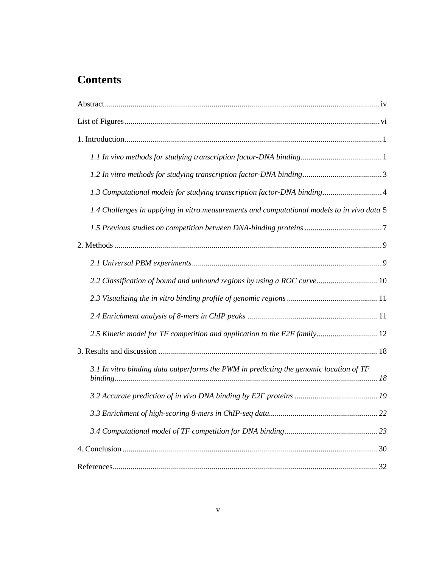## **Contents**

| 1.3 Computational models for studying transcription factor-DNA binding 4                    |
|---------------------------------------------------------------------------------------------|
| 1.4 Challenges in applying in vitro measurements and computational models to in vivo data 5 |
|                                                                                             |
|                                                                                             |
|                                                                                             |
| 2.2 Classification of bound and unbound regions by using a ROC curve 10                     |
|                                                                                             |
|                                                                                             |
| 2.5 Kinetic model for TF competition and application to the E2F family 12                   |
|                                                                                             |
| 3.1 In vitro binding data outperforms the PWM in predicting the genomic location of TF      |
|                                                                                             |
|                                                                                             |
|                                                                                             |
|                                                                                             |
|                                                                                             |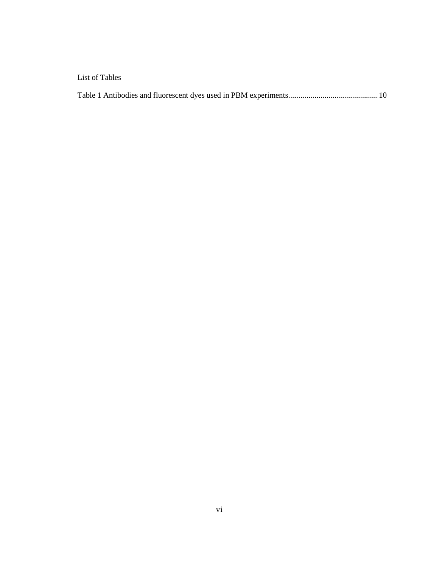### <span id="page-5-0"></span>List of Tables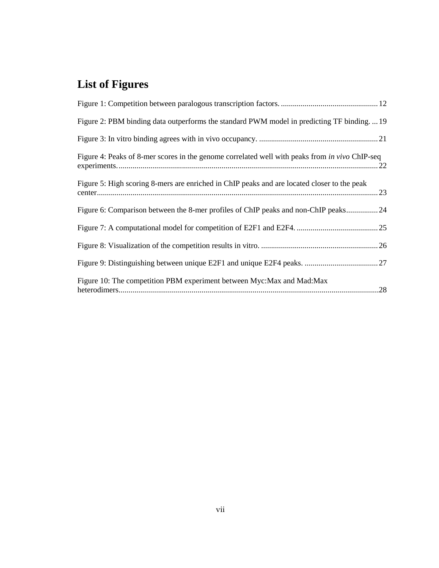# **List of Figures**

| Figure 2: PBM binding data outperforms the standard PWM model in predicting TF binding19              |  |
|-------------------------------------------------------------------------------------------------------|--|
|                                                                                                       |  |
| Figure 4: Peaks of 8-mer scores in the genome correlated well with peaks from <i>in vivo</i> ChIP-seq |  |
| Figure 5: High scoring 8-mers are enriched in ChIP peaks and are located closer to the peak           |  |
| Figure 6: Comparison between the 8-mer profiles of ChIP peaks and non-ChIP peaks24                    |  |
|                                                                                                       |  |
|                                                                                                       |  |
|                                                                                                       |  |
| Figure 10: The competition PBM experiment between Myc: Max and Mad: Max                               |  |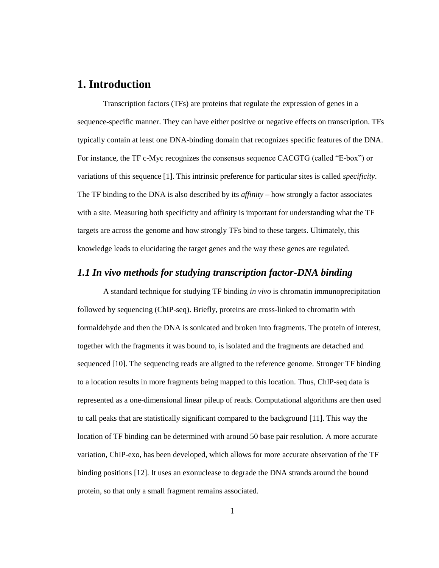## <span id="page-7-0"></span>**1. Introduction**

Transcription factors (TFs) are proteins that regulate the expression of genes in a sequence-specific manner. They can have either positive or negative effects on transcription. TFs typically contain at least one DNA-binding domain that recognizes specific features of the DNA. For instance, the TF c-Myc recognizes the consensus sequence CACGTG (called "E-box") or variations of this sequence [1]. This intrinsic preference for particular sites is called *specificity*. The TF binding to the DNA is also described by its *affinity* – how strongly a factor associates with a site. Measuring both specificity and affinity is important for understanding what the TF targets are across the genome and how strongly TFs bind to these targets. Ultimately, this knowledge leads to elucidating the target genes and the way these genes are regulated.

#### <span id="page-7-1"></span>*1.1 In vivo methods for studying transcription factor-DNA binding*

A standard technique for studying TF binding *in vivo* is chromatin immunoprecipitation followed by sequencing (ChIP-seq). Briefly, proteins are cross-linked to chromatin with formaldehyde and then the DNA is sonicated and broken into fragments. The protein of interest, together with the fragments it was bound to, is isolated and the fragments are detached and sequenced [10]. The sequencing reads are aligned to the reference genome. Stronger TF binding to a location results in more fragments being mapped to this location. Thus, ChIP-seq data is represented as a one-dimensional linear pileup of reads. Computational algorithms are then used to call peaks that are statistically significant compared to the background [11]. This way the location of TF binding can be determined with around 50 base pair resolution. A more accurate variation, ChIP-exo, has been developed, which allows for more accurate observation of the TF binding positions [12]. It uses an exonuclease to degrade the DNA strands around the bound protein, so that only a small fragment remains associated.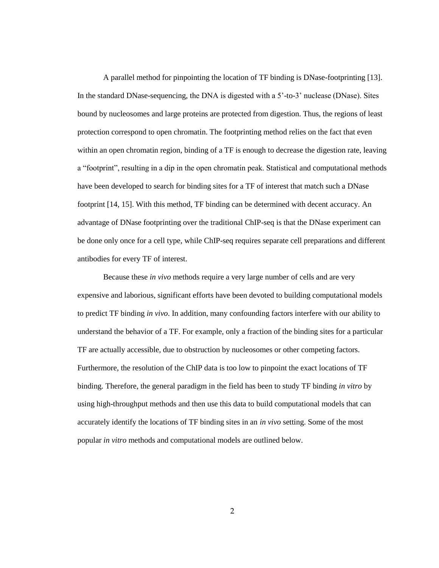A parallel method for pinpointing the location of TF binding is DNase-footprinting [13]. In the standard DNase-sequencing, the DNA is digested with a 5'-to-3' nuclease (DNase). Sites bound by nucleosomes and large proteins are protected from digestion. Thus, the regions of least protection correspond to open chromatin. The footprinting method relies on the fact that even within an open chromatin region, binding of a TF is enough to decrease the digestion rate, leaving a "footprint", resulting in a dip in the open chromatin peak. Statistical and computational methods have been developed to search for binding sites for a TF of interest that match such a DNase footprint [14, 15]. With this method, TF binding can be determined with decent accuracy. An advantage of DNase footprinting over the traditional ChIP-seq is that the DNase experiment can be done only once for a cell type, while ChIP-seq requires separate cell preparations and different antibodies for every TF of interest.

Because these *in vivo* methods require a very large number of cells and are very expensive and laborious, significant efforts have been devoted to building computational models to predict TF binding *in vivo*. In addition, many confounding factors interfere with our ability to understand the behavior of a TF. For example, only a fraction of the binding sites for a particular TF are actually accessible, due to obstruction by nucleosomes or other competing factors. Furthermore, the resolution of the ChIP data is too low to pinpoint the exact locations of TF binding. Therefore, the general paradigm in the field has been to study TF binding *in vitro* by using high-throughput methods and then use this data to build computational models that can accurately identify the locations of TF binding sites in an *in vivo* setting. Some of the most popular *in vitro* methods and computational models are outlined below.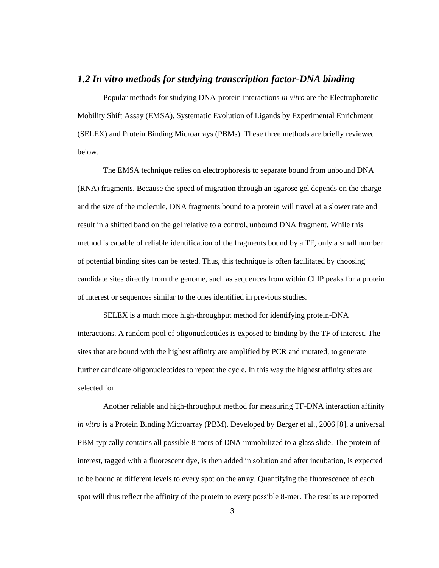#### <span id="page-9-0"></span>*1.2 In vitro methods for studying transcription factor-DNA binding*

Popular methods for studying DNA-protein interactions *in vitro* are the Electrophoretic Mobility Shift Assay (EMSA), Systematic Evolution of Ligands by Experimental Enrichment (SELEX) and Protein Binding Microarrays (PBMs). These three methods are briefly reviewed below.

The EMSA technique relies on electrophoresis to separate bound from unbound DNA (RNA) fragments. Because the speed of migration through an agarose gel depends on the charge and the size of the molecule, DNA fragments bound to a protein will travel at a slower rate and result in a shifted band on the gel relative to a control, unbound DNA fragment. While this method is capable of reliable identification of the fragments bound by a TF, only a small number of potential binding sites can be tested. Thus, this technique is often facilitated by choosing candidate sites directly from the genome, such as sequences from within ChIP peaks for a protein of interest or sequences similar to the ones identified in previous studies.

SELEX is a much more high-throughput method for identifying protein-DNA interactions. A random pool of oligonucleotides is exposed to binding by the TF of interest. The sites that are bound with the highest affinity are amplified by PCR and mutated, to generate further candidate oligonucleotides to repeat the cycle. In this way the highest affinity sites are selected for.

Another reliable and high-throughput method for measuring TF-DNA interaction affinity *in vitro* is a Protein Binding Microarray (PBM). Developed by Berger et al., 2006 [8], a universal PBM typically contains all possible 8-mers of DNA immobilized to a glass slide. The protein of interest, tagged with a fluorescent dye, is then added in solution and after incubation, is expected to be bound at different levels to every spot on the array. Quantifying the fluorescence of each spot will thus reflect the affinity of the protein to every possible 8-mer. The results are reported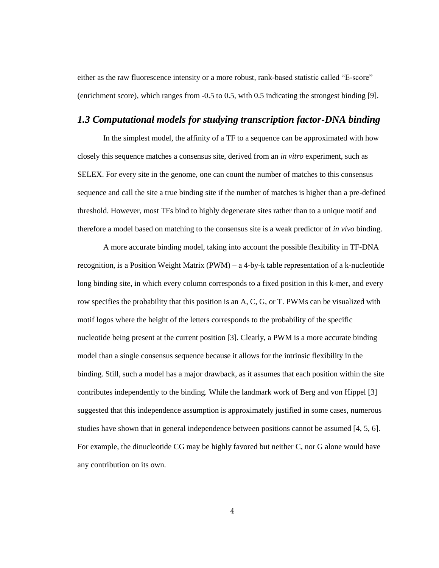either as the raw fluorescence intensity or a more robust, rank-based statistic called "E-score" (enrichment score), which ranges from -0.5 to 0.5, with 0.5 indicating the strongest binding [9].

#### <span id="page-10-0"></span>*1.3 Computational models for studying transcription factor-DNA binding*

In the simplest model, the affinity of a TF to a sequence can be approximated with how closely this sequence matches a consensus site, derived from an *in vitro* experiment, such as SELEX. For every site in the genome, one can count the number of matches to this consensus sequence and call the site a true binding site if the number of matches is higher than a pre-defined threshold. However, most TFs bind to highly degenerate sites rather than to a unique motif and therefore a model based on matching to the consensus site is a weak predictor of *in vivo* binding.

A more accurate binding model, taking into account the possible flexibility in TF-DNA recognition, is a Position Weight Matrix (PWM) – a 4-by-k table representation of a k-nucleotide long binding site, in which every column corresponds to a fixed position in this k-mer, and every row specifies the probability that this position is an A, C, G, or T. PWMs can be visualized with motif logos where the height of the letters corresponds to the probability of the specific nucleotide being present at the current position [3]. Clearly, a PWM is a more accurate binding model than a single consensus sequence because it allows for the intrinsic flexibility in the binding. Still, such a model has a major drawback, as it assumes that each position within the site contributes independently to the binding. While the landmark work of Berg and von Hippel [3] suggested that this independence assumption is approximately justified in some cases, numerous studies have shown that in general independence between positions cannot be assumed [4, 5, 6]. For example, the dinucleotide CG may be highly favored but neither C, nor G alone would have any contribution on its own.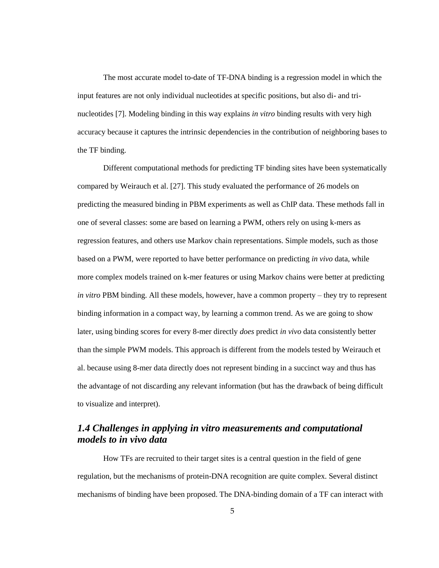The most accurate model to-date of TF-DNA binding is a regression model in which the input features are not only individual nucleotides at specific positions, but also di- and trinucleotides [7]. Modeling binding in this way explains *in vitro* binding results with very high accuracy because it captures the intrinsic dependencies in the contribution of neighboring bases to the TF binding.

Different computational methods for predicting TF binding sites have been systematically compared by Weirauch et al. [27]. This study evaluated the performance of 26 models on predicting the measured binding in PBM experiments as well as ChIP data. These methods fall in one of several classes: some are based on learning a PWM, others rely on using k-mers as regression features, and others use Markov chain representations. Simple models, such as those based on a PWM, were reported to have better performance on predicting *in vivo* data, while more complex models trained on k-mer features or using Markov chains were better at predicting *in vitro* PBM binding. All these models, however, have a common property – they try to represent binding information in a compact way, by learning a common trend. As we are going to show later, using binding scores for every 8-mer directly *does* predict *in vivo* data consistently better than the simple PWM models. This approach is different from the models tested by Weirauch et al. because using 8-mer data directly does not represent binding in a succinct way and thus has the advantage of not discarding any relevant information (but has the drawback of being difficult to visualize and interpret).

### <span id="page-11-0"></span>*1.4 Challenges in applying in vitro measurements and computational models to in vivo data*

How TFs are recruited to their target sites is a central question in the field of gene regulation, but the mechanisms of protein-DNA recognition are quite complex. Several distinct mechanisms of binding have been proposed. The DNA-binding domain of a TF can interact with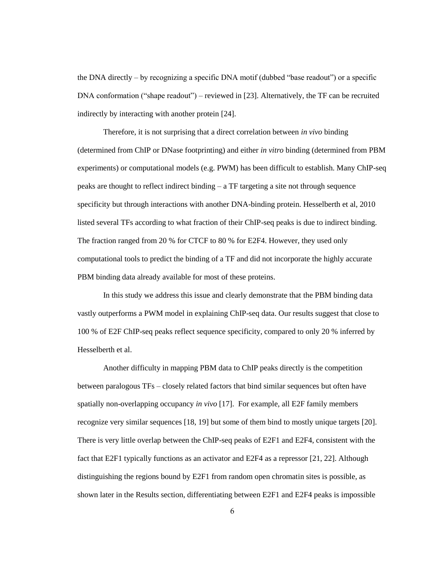the DNA directly – by recognizing a specific DNA motif (dubbed "base readout") or a specific DNA conformation ("shape readout") – reviewed in [23]. Alternatively, the TF can be recruited indirectly by interacting with another protein [24].

Therefore, it is not surprising that a direct correlation between *in vivo* binding (determined from ChIP or DNase footprinting) and either *in vitro* binding (determined from PBM experiments) or computational models (e.g. PWM) has been difficult to establish. Many ChIP-seq peaks are thought to reflect indirect binding – a TF targeting a site not through sequence specificity but through interactions with another DNA-binding protein. Hesselberth et al, 2010 listed several TFs according to what fraction of their ChIP-seq peaks is due to indirect binding. The fraction ranged from 20 % for CTCF to 80 % for E2F4. However, they used only computational tools to predict the binding of a TF and did not incorporate the highly accurate PBM binding data already available for most of these proteins.

In this study we address this issue and clearly demonstrate that the PBM binding data vastly outperforms a PWM model in explaining ChIP-seq data. Our results suggest that close to 100 % of E2F ChIP-seq peaks reflect sequence specificity, compared to only 20 % inferred by Hesselberth et al.

Another difficulty in mapping PBM data to ChIP peaks directly is the competition between paralogous TFs – closely related factors that bind similar sequences but often have spatially non-overlapping occupancy *in vivo* [17]. For example, all E2F family members recognize very similar sequences [18, 19] but some of them bind to mostly unique targets [20]. There is very little overlap between the ChIP-seq peaks of E2F1 and E2F4, consistent with the fact that E2F1 typically functions as an activator and E2F4 as a repressor [21, 22]. Although distinguishing the regions bound by E2F1 from random open chromatin sites is possible, as shown later in the Results section, differentiating between E2F1 and E2F4 peaks is impossible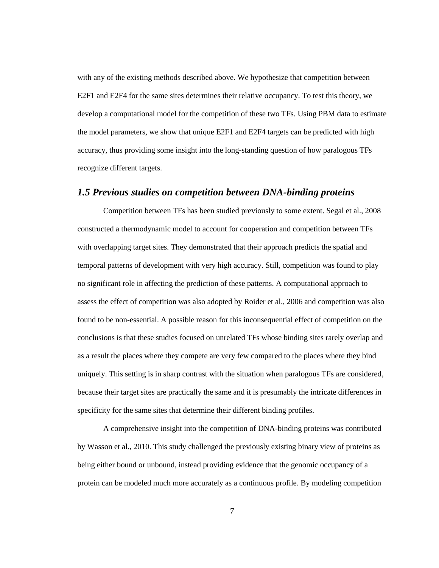with any of the existing methods described above. We hypothesize that competition between E2F1 and E2F4 for the same sites determines their relative occupancy. To test this theory, we develop a computational model for the competition of these two TFs. Using PBM data to estimate the model parameters, we show that unique E2F1 and E2F4 targets can be predicted with high accuracy, thus providing some insight into the long-standing question of how paralogous TFs recognize different targets.

#### <span id="page-13-0"></span>*1.5 Previous studies on competition between DNA-binding proteins*

Competition between TFs has been studied previously to some extent. Segal et al., 2008 constructed a thermodynamic model to account for cooperation and competition between TFs with overlapping target sites. They demonstrated that their approach predicts the spatial and temporal patterns of development with very high accuracy. Still, competition was found to play no significant role in affecting the prediction of these patterns. A computational approach to assess the effect of competition was also adopted by Roider et al., 2006 and competition was also found to be non-essential. A possible reason for this inconsequential effect of competition on the conclusions is that these studies focused on unrelated TFs whose binding sites rarely overlap and as a result the places where they compete are very few compared to the places where they bind uniquely. This setting is in sharp contrast with the situation when paralogous TFs are considered, because their target sites are practically the same and it is presumably the intricate differences in specificity for the same sites that determine their different binding profiles.

A comprehensive insight into the competition of DNA-binding proteins was contributed by Wasson et al., 2010. This study challenged the previously existing binary view of proteins as being either bound or unbound, instead providing evidence that the genomic occupancy of a protein can be modeled much more accurately as a continuous profile. By modeling competition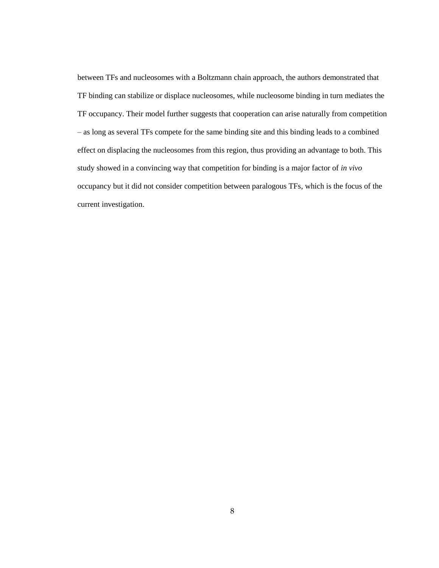<span id="page-14-0"></span>between TFs and nucleosomes with a Boltzmann chain approach, the authors demonstrated that TF binding can stabilize or displace nucleosomes, while nucleosome binding in turn mediates the TF occupancy. Their model further suggests that cooperation can arise naturally from competition – as long as several TFs compete for the same binding site and this binding leads to a combined effect on displacing the nucleosomes from this region, thus providing an advantage to both. This study showed in a convincing way that competition for binding is a major factor of *in vivo* occupancy but it did not consider competition between paralogous TFs, which is the focus of the current investigation.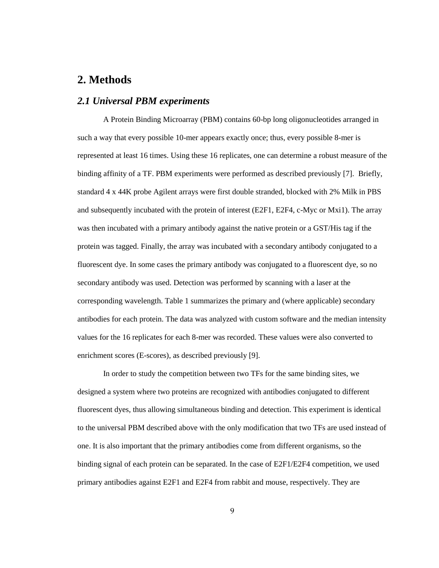## **2. Methods**

#### <span id="page-15-0"></span>*2.1 Universal PBM experiments*

A Protein Binding Microarray (PBM) contains 60-bp long oligonucleotides arranged in such a way that every possible 10-mer appears exactly once; thus, every possible 8-mer is represented at least 16 times. Using these 16 replicates, one can determine a robust measure of the binding affinity of a TF. PBM experiments were performed as described previously [7]. Briefly, standard 4 x 44K probe Agilent arrays were first double stranded, blocked with 2% Milk in PBS and subsequently incubated with the protein of interest (E2F1, E2F4, c-Myc or Mxi1). The array was then incubated with a primary antibody against the native protein or a GST/His tag if the protein was tagged. Finally, the array was incubated with a secondary antibody conjugated to a fluorescent dye. In some cases the primary antibody was conjugated to a fluorescent dye, so no secondary antibody was used. Detection was performed by scanning with a laser at the corresponding wavelength. Table 1 summarizes the primary and (where applicable) secondary antibodies for each protein. The data was analyzed with custom software and the median intensity values for the 16 replicates for each 8-mer was recorded. These values were also converted to enrichment scores (E-scores), as described previously [9].

In order to study the competition between two TFs for the same binding sites, we designed a system where two proteins are recognized with antibodies conjugated to different fluorescent dyes, thus allowing simultaneous binding and detection. This experiment is identical to the universal PBM described above with the only modification that two TFs are used instead of one. It is also important that the primary antibodies come from different organisms, so the binding signal of each protein can be separated. In the case of E2F1/E2F4 competition, we used primary antibodies against E2F1 and E2F4 from rabbit and mouse, respectively. They are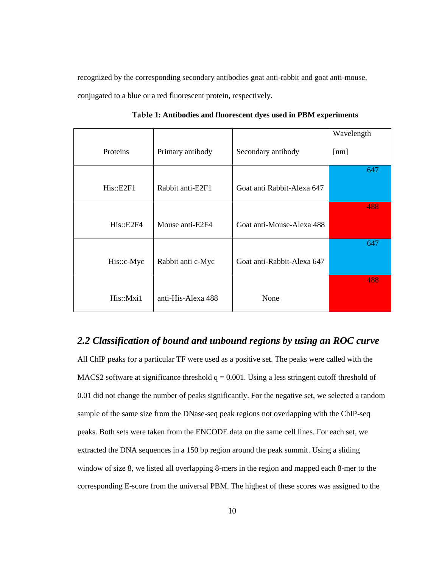recognized by the corresponding secondary antibodies goat anti-rabbit and goat anti-mouse, conjugated to a blue or a red fluorescent protein, respectively.

|            |                    |                            | Wavelength |
|------------|--------------------|----------------------------|------------|
| Proteins   | Primary antibody   | Secondary antibody         | [nm]       |
|            |                    |                            | 647        |
| His::E2F1  | Rabbit anti-E2F1   | Goat anti Rabbit-Alexa 647 |            |
|            |                    |                            | 488        |
| His::E2F4  | Mouse anti-E2F4    | Goat anti-Mouse-Alexa 488  |            |
|            |                    |                            | 647        |
| His::c-Myc | Rabbit anti c-Myc  | Goat anti-Rabbit-Alexa 647 |            |
|            |                    |                            | 488        |
| His::Mxi1  | anti-His-Alexa 488 | None                       |            |

**Table 1: Antibodies and fluorescent dyes used in PBM experiments**

#### <span id="page-16-0"></span>*2.2 Classification of bound and unbound regions by using an ROC curve*

All ChIP peaks for a particular TF were used as a positive set. The peaks were called with the MACS2 software at significance threshold  $q = 0.001$ . Using a less stringent cutoff threshold of 0.01 did not change the number of peaks significantly. For the negative set, we selected a random sample of the same size from the DNase-seq peak regions not overlapping with the ChIP-seq peaks. Both sets were taken from the ENCODE data on the same cell lines. For each set, we extracted the DNA sequences in a 150 bp region around the peak summit. Using a sliding window of size 8, we listed all overlapping 8-mers in the region and mapped each 8-mer to the corresponding E-score from the universal PBM. The highest of these scores was assigned to the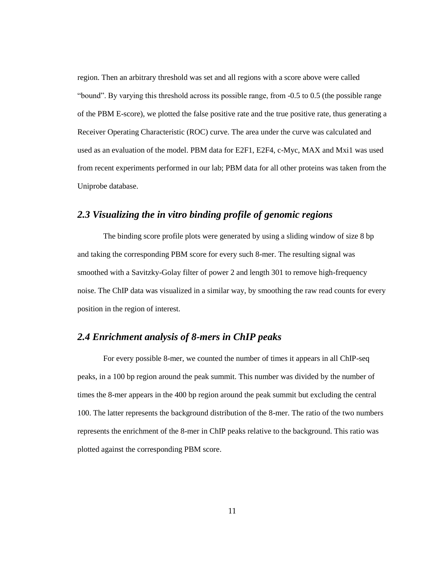region. Then an arbitrary threshold was set and all regions with a score above were called "bound". By varying this threshold across its possible range, from -0.5 to 0.5 (the possible range of the PBM E-score), we plotted the false positive rate and the true positive rate, thus generating a Receiver Operating Characteristic (ROC) curve. The area under the curve was calculated and used as an evaluation of the model. PBM data for E2F1, E2F4, c-Myc, MAX and Mxi1 was used from recent experiments performed in our lab; PBM data for all other proteins was taken from the Uniprobe database.

### <span id="page-17-0"></span>*2.3 Visualizing the in vitro binding profile of genomic regions*

The binding score profile plots were generated by using a sliding window of size 8 bp and taking the corresponding PBM score for every such 8-mer. The resulting signal was smoothed with a Savitzky-Golay filter of power 2 and length 301 to remove high-frequency noise. The ChIP data was visualized in a similar way, by smoothing the raw read counts for every position in the region of interest.

## <span id="page-17-1"></span>*2.4 Enrichment analysis of 8-mers in ChIP peaks*

For every possible 8-mer, we counted the number of times it appears in all ChIP-seq peaks, in a 100 bp region around the peak summit. This number was divided by the number of times the 8-mer appears in the 400 bp region around the peak summit but excluding the central 100. The latter represents the background distribution of the 8-mer. The ratio of the two numbers represents the enrichment of the 8-mer in ChIP peaks relative to the background. This ratio was plotted against the corresponding PBM score.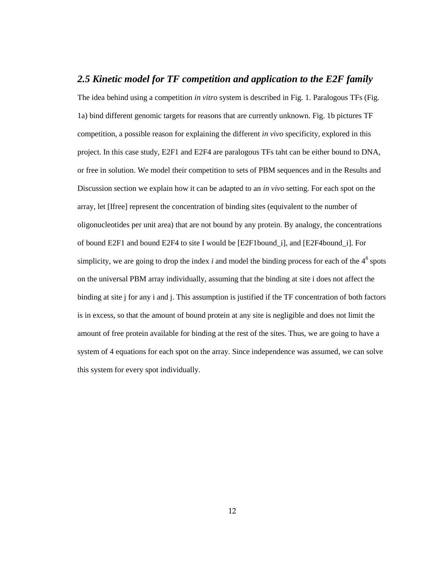#### <span id="page-18-0"></span>*2.5 Kinetic model for TF competition and application to the E2F family*

The idea behind using a competition *in vitro* system is described in Fig. 1. Paralogous TFs (Fig. 1a) bind different genomic targets for reasons that are currently unknown. Fig. 1b pictures TF competition, a possible reason for explaining the different *in vivo* specificity, explored in this project. In this case study, E2F1 and E2F4 are paralogous TFs taht can be either bound to DNA, or free in solution. We model their competition to sets of PBM sequences and in the Results and Discussion section we explain how it can be adapted to an *in vivo* setting. For each spot on the array, let [Ifree] represent the concentration of binding sites (equivalent to the number of oligonucleotides per unit area) that are not bound by any protein. By analogy, the concentrations of bound E2F1 and bound E2F4 to site I would be [E2F1bound\_i], and [E2F4bound\_i]. For simplicity, we are going to drop the index  $i$  and model the binding process for each of the  $4<sup>8</sup>$  spots on the universal PBM array individually, assuming that the binding at site i does not affect the binding at site j for any i and j. This assumption is justified if the TF concentration of both factors is in excess, so that the amount of bound protein at any site is negligible and does not limit the amount of free protein available for binding at the rest of the sites. Thus, we are going to have a system of 4 equations for each spot on the array. Since independence was assumed, we can solve this system for every spot individually.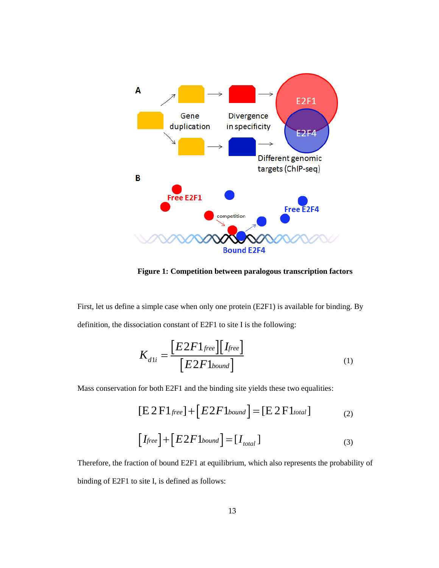

**Figure 1: Competition between paralogous transcription factors**

First, let us define a simple case when only one protein (E2F1) is available for binding. By definition, the dissociation constant of E2F1 to site I is the following:

$$
K_{d1i} = \frac{[E2F1_{free}][I_{free}]}{[E2F1_{bound}]}
$$
 (1)

Mass conservation for both E2F1 and the binding site yields these two equalities:

$$
[E2F1_{free}] + [E2F1_{bound}] = [E2F1_{total}]
$$
 (2)

$$
[I_{free}] + [E2F1_{bound}] = [I_{total}]
$$
\n(3)

Therefore, the fraction of bound E2F1 at equilibrium, which also represents the probability of binding of E2F1 to site I, is defined as follows: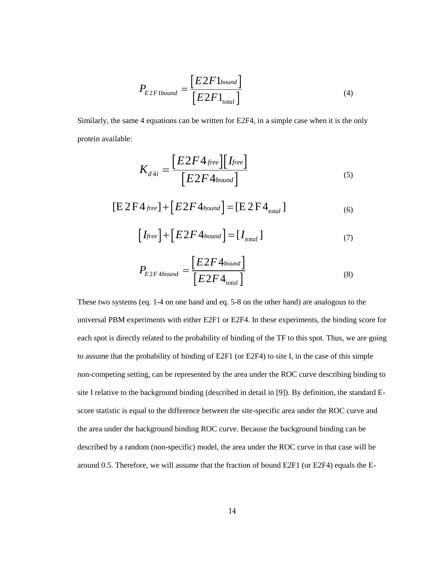$$
P_{E2F1bound} = \frac{[E2F1_{bound}]}{[E2F1_{total}]} \tag{4}
$$
  
4 equations can be written for E2F4, in a simple case when it is the on

Similarly, the same 4 equations can be written for E2F4, in a simple case when it is the only protein available:

$$
P_{E2F1bound} = \frac{[E2F1_{bound}]}{[E2F1_{total}]} \qquad (4)
$$
  
4 equations can be written for E2F4, in a simple case when it is the only  

$$
K_{d4i} = \frac{[E2F4_{free}][I_{free}]}{[E2F4_{bound}]} \qquad (5)
$$

$$
4_{free}] + [E2F4_{bound}] = [E2F4_{total}] \qquad (6)
$$

$$
[I_{free}] + [E2F4_{bound}] = [I_{total}] \qquad (7)
$$

$$
P_{E2F4bound} = \frac{[E2F4_{bound}]}{[E2F4_{total}]} \qquad (8)
$$

$$
(eq. 1-4 on one hand and eq. 5-8 on the other hand) are analogous to thesiments with either E2F1 or E2F4. In these experiments, the binding score
$$

$$
[E 2F4_{\text{free}}] + [E 2F4_{\text{bound}}] = [E 2F4_{\text{total}}]
$$
\n(6)

$$
[I_{free}] + [E2F4_{bound}] = [I_{total}]
$$
\n(7)

$$
P_{E2F4bound} = \frac{[E2F4_{bound}]}{[E2F4_{total}]}
$$
\n(8)

 $P_{E2P1bound} = \frac{[E2F1_{bound}]}{[E2F1_{total}]}$  (4)<br>
the same 4 equations can be written for E2F4, in a simple case when it is the only<br>
linbls:<br>  $K_{d4i} = \frac{[E2F4_{forward}][I_{free}]}{[E2F4_{bound}]}$  (5)<br>  $[E2F4_{bound}] = [E2F4_{bound}]$  (5)<br>  $[E2F4_{bound}] = [E2F4_{mod}]$  (6  $t^{\text{1bound}} = \frac{[E2F1_{\text{boost}}]}{[E2F1_{\text{total}}]}$  (4)<br>  $t^{\text{1bound}}$ <br>
(a)<br>
uations can be written for E2F4, in a simple case when it is the only<br>  $t_i = \frac{[E2F4_{\text{forward}}][\text{tree}]}{[E2F4_{\text{bound}}]}$  (5)<br>  $t_i + [E2F4_{\text{bound}}] = [E2F4_{\text{total}}]$  (6)<br>  $t^2 + [E$  $P_{E2F1bound} = \frac{[E2F1_{bound}]}{[E2F1_{total}]}$  (4<br>
4 equations can be written for E2F4, in a simple case when it is the<br>  $K_{d4i} = \frac{[E2F4_{free}][I_{free}]}{[E2F4_{bound}]}$  (5<br>  $4_{free} + [E2F4_{bound}] = [E2F4_{total}]$  (6<br>  $[I_{free}] + [E2F4_{bound}] = [I_{total}]$  (7)<br>  $P_{E2F4bound} = \frac{[E2$  $\begin{aligned}\n\mathcal{E}_{L2F1bound} &= \frac{[E2F1_{bound}]}{[E2F1_{cond}]} \quad (4) \\
\text{equations can be written for E2F4, in a simple case when it is the only\n\[\n\mathcal{K}_{d4i} &= \frac{[E2F4_{flowad}]}{[E2F4_{flowad}]} \quad (5) \\
\text{Here}\n\mathcal{F}_{d4i} &= \frac{[E2F4_{bound}]}{[E2F4_{bound}]} \quad (6) \\
\text{Here}\n\mathcal{F}_{d4i} &= \frac{[E2F4_{bound}]}{[E2F4_{bound}]} \quad (7) \\
\mathcal{E}_{L2F4} &= \frac{$  $\begin{aligned} \mathcal{L}_{2F1bound} = & \frac{[E2F1_{bound}]}{[E2F1_{total}]} \end{aligned} \end{aligned}$ <br>quations can be written for B<br> $\mathcal{L}_{44i} = \frac{[E2F4_{\textit{free}}][\textit{I}_{\textit{free}}]}{[E2F4_{\textit{bound}}]} = [\textit{tree}] + [E2F4_{\textit{bound}}] = [\textit{E2F4}_{\textit{bound}}] = [\textit{E2F4}_{\textit{total}}] \end{aligned}$ <br> $\mathcal{L}_{2F4bound} = \frac{[E2F$  $2F1_{bound}$ <br>  $2F1_{total}$  (4)<br>  $2F1_{total}$  (4)<br>  $4F1_{total}$  (4)<br>  $4F2F3_{total}$  (4)<br>  $4F4_{bound}$  (5)<br>  $2F4_{bound}$  (5)<br>  $2F4_{total}$  (6)<br>  $2F4_{total}$  (7)<br>  $2F4_{total}$  (8)<br>  $2F4_{total}$  (8)<br>  $2F4_{total}$  (8)<br>  $2F4_{total}$  (8)<br>  $2F4_{total}$  (8)<br>  $2F4_{total}$  (8)<br>  $2F4_{total}$  (8)<br>  $\frac{2F1_{bound}}{2F1_{total}}$  (4)<br>  $\frac{2F1_{total}}{2F1_{total}}$  (4)<br>  $\frac{free}{2F4_{bound}}$  (5)<br>  $\frac{1}{2}F4_{bound}$  (5)<br>  $\frac{1}{2}F4_{bound}$  (6)<br>  $\frac{1}{2}F4_{total}$  (6)<br>  $\frac{1}{2}F4_{total}$  (7)<br>  $\frac{2F4_{bound}}{2F4_{total}}$  (8)<br>
and eq. 5-8 on the other hand) are analogous to t<br>  $\begin{aligned} E^{2F1bound}_{E2F1bound} &= \frac{[E2F1bound]}{[E2F1_{total}]} \end{aligned}$  (4)<br>
equations can be written for E2F4, in a simple case when it is the only<br>  $\begin{aligned} \mathcal{E}_{d4i} &= \frac{[E2F4_{\text{free}}][\text{free}]}{[E2F4_{\text{bound}}]} \end{aligned}$  (5)<br>  $\begin{aligned} E_{d4i} &= \frac{[E2F4_{\text{bound}}]}{[E2F$  $\begin{aligned}\n\text{E2}F1_{bound}\n\end{aligned}$ <br>  $\begin{aligned}\n\text{E2}F1_{total}\n\end{aligned}$  (4)<br>
e written for E2F4, in a simple case when it is the only<br>  $\begin{aligned}\n\text{F4}_{free}\n\end{aligned}$ <br>  $\begin{aligned}\n\text{F4}_{bound}\n\end{aligned}$  (5)<br>  $\begin{aligned}\n\text{F4}_{bound}\n\end{aligned}$  = [E 2 F 4<sub>totat</sub>] (6)<br>  $\begin{aligned}\$ These two systems (eq. 1-4 on one hand and eq. 5-8 on the other hand) are analogous to the universal PBM experiments with either E2F1 or E2F4. In these experiments, the binding score for each spot is directly related to the probability of binding of the TF to this spot. Thus, we are going to assume that the probability of binding of E2F1 (or E2F4) to site I, in the case of this simple non-competing setting, can be represented by the area under the ROC curve describing binding to site I relative to the background binding (described in detail in [9]). By definition, the standard Escore statistic is equal to the difference between the site-specific area under the ROC curve and the area under the background binding ROC curve. Because the background binding can be described by a random (non-specific) model, the area under the ROC curve in that case will be around 0.5. Therefore, we will assume that the fraction of bound E2F1 (or E2F4) equals the E-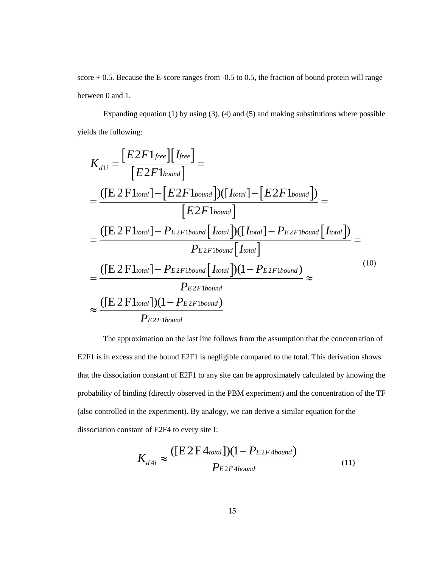score + 0.5. Because the E-score ranges from -0.5 to 0.5, the fraction of bound protein will range between 0 and 1.

Expanding equation (1) by using  $(3)$ ,  $(4)$  and  $(5)$  and making substitutions where possible yields the following:

ds the following:  
\n
$$
K_{d1i} = \frac{[E2F1_{free}][I_{free}]}{[E2F1_{bound}]} =
$$
\n
$$
= \frac{([E2F1_{total}] - [E2F1_{bound}])([I_{total}] - [E2F1_{bound}])}{[E2F1_{bound}]} =
$$
\n
$$
= \frac{([E2F1_{total}] - P_{E2F1{bound}}[I_{total}])([I_{total}] - P_{E2F1{bound}}[I_{total}])}{P_{E2F1{bound}}[I_{total}]} =
$$
\n
$$
= \frac{([E2F1_{total}] - P_{E2F1{bound}}[I_{total}]) (1 - P_{E2F1{bound}})}{P_{E2F1{bound}}} \approx
$$
\n
$$
\approx \frac{([E2F1_{total}])(1 - P_{E2F1{bound}})}{P_{E2F1{bound}}}
$$
\n(10)

The approximation on the last line follows from the assumption that the concentration of E2F1 is in excess and the bound E2F1 is negligible compared to the total. This derivation shows that the dissociation constant of E2F1 to any site can be approximately calculated by knowing the probability of binding (directly observed in the PBM experiment) and the concentration of the TF (also controlled in the experiment). By analogy, we can derive a similar equation for the dissociation constant of E2F4 to every site I:

$$
K_{d4i} \approx \frac{(\text{[E2F4total]})(1 - P_{E2F4bound})}{P_{E2F4bound}}
$$
\n(11)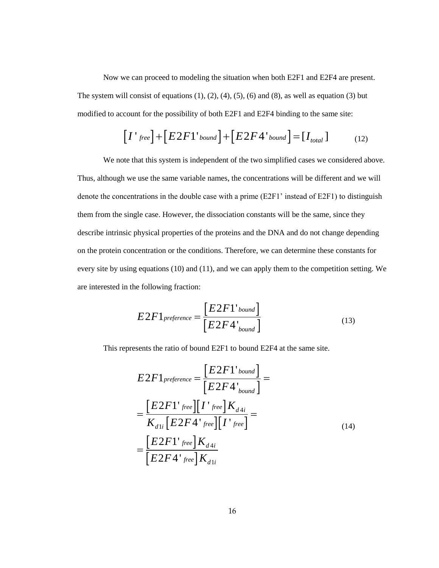Now we can proceed to modeling the situation when both E2F1 and E2F4 are present. The system will consist of equations  $(1)$ ,  $(2)$ ,  $(4)$ ,  $(5)$ ,  $(6)$  and  $(8)$ , as well as equation  $(3)$  but modified to account for the possibility of both E2F1 and E2F4 binding to the same site:

$$
[I'_{free}] + [E2F1'_{bound}] + [E2F4'_{bound}] = [I_{total}]
$$
 (12)

we can proceed to modeling the situation when both E2F1 and E2F4 are present.<br>Il consist of equations (1), (2), (4), (5), (6) and (8), as well as equation (3) but<br>count for the possibility of both E2F1 and E2F4 binding to We note that this system is independent of the two simplified cases we considered above. Thus, although we use the same variable names, the concentrations will be different and we will denote the concentrations in the double case with a prime (E2F1' instead of E2F1) to distinguish them from the single case. However, the dissociation constants will be the same, since they describe intrinsic physical properties of the proteins and the DNA and do not change depending on the protein concentration or the conditions. Therefore, we can determine these constants for every site by using equations (10) and (11), and we can apply them to the competition setting. We are interested in the following fraction: the situation when both E2F1 and E2F4 are present.<br>
2), (4), (5), (6) and (8), as well as equation (3) but<br>
both E2F1 and E2F4 binding to the same site:<br>  $md$   $]+[E2F4'$  bound  $] = [I_{total}]$  (12)<br>
endent of the two simplified ca g the situation when both E2F1 and E2F4 are present.<br>
(2), (4), (5), (6) and (8), as well as equation (3) but<br>
both E2F1 and E2F4 binding to the same site:<br>  $ma'$   $\Big] + \Big[ E 2F4^{\dagger}$  *bound*  $\Big] = \Big[ I_{total} \Big]$  (12)<br>
endent o *In* proceed to modeling the situation when both E2F1 and E2F4 ansist of equations (1), (2), (4), (5), (6) and (8), as well as equation<br> *fror* the possibility of both E2F1 and E2F4 binding to the same si<br>  $f^{\text{row}}$  $\mathbf{J$ is estituation when both<br>
(4), (5), (6) and (8),<br>
th E2F1 and E2F4 bin<br>  $\left] + \left[ E2F4' \right]$  bound<br>
dent of the two simplif<br>
mes, the concentration<br>
with a prime (E2F1'<br>
sociation constants with<br>
proteins and the DNA<br>
is. Th proceed to modeling the situation when both E2<br>
ist of equations (1), (2), (4), (5), (6) and (8), as v<br>
or the possibility of both E2F1 and E2F4 bindin<br>  $ee$ ] + [E2F1' bound] + [E2F4' bound]<br>
this system is independent of eed to modeling the situation w<br>
f equations (1), (2), (4), (5), (6)<br>
e possibility of both E2F1 and<br>  $\pm \left[ E2F1^{\dagger}$  *bound*  $\left] \pm \left[ E2F \right] \right]$ <br>
system is independent of the two same variable names, the conce<br>
in the d modeling the situation when bo<br>
ions (1), (2), (4), (5), (6) and (8<br>
sibility of both E2F1 and E2F4 t<br>  $2F1' bound$  +  $[E2F4'$  bout<br>
is independent of the two simp<br>
variable names, the concentrati<br>
double case with a prime (E2 eed to modeling the si<br>
f equations (1), (2), (4<br>
le possibility of both I<br>  $\left[ E2F1'_{bound} \right] +$ <br>
system is independent<br>
same variable names<br>
in the double case wi<br>
Movever, the dissoc<br>
le properties of the prot<br>  $\left[ P2F1'_{bound$ ne situation when both<br>
0. (4), (5), (6) and (8), and (8), and (8), and E2F4 bin<br>  $l$  +  $[E2F4'$  bound<br>
dent of the two simplif<br>
mes, the concentration<br>
exith a prime (E2F1' i<br>
sociation constants wi<br>
proteins and the DNA<br> to modeling the si<br>
tations (1), (2), (4)<br>
ssibility of both E<br>  $E2F1$  'bound ] +<br>
em is independent<br>
ne variable names,<br>
ne double case wit<br>
wever, the dissoci<br>
perties of the prot<br>
r the conditions. T<br>
(10) and (11), an modeling the situation when both E<br>ons (1), (2), (4), (5), (6) and (8), as<br>bility of both E2F1 and E2F4 bind<br> $F1$ <sup>1</sup> bound  $]+[E2F4$ <sup>1</sup> bound<br>is independent of the two simplific<br>variable names, the concentrations<br>louble ca of equations (1), (2), (4), (5), (6) and (8), as well a<br>
the possibility of both E2F1 and E2F4 binding to t<br>  $\pm [E2F1'bound] + [E2F4'bound] = [I_i]$ <br>
system is independent of the two simplified case<br>
ie same variable names, the concen bility of both E2F1 and E<br>  $F1$ <sup>'</sup>bound] +  $[E2F4$ <br>
is independent of the two<br>
variable names, the conce<br>
double case with a prime<br>
ver, the dissociation cons<br>
ties of the proteins and the<br>
conditions. Therefore,<br>
) and (1  $F1$ 'bound  $]+[E2F4$ <br>
is independent of the two<br>
ariable names, the conce<br>
ouble case with a prime (<br>
ver, the dissociation const<br>
ies of the proteins and th<br>
e conditions. Therefore,  $\sqrt{a}$ <br>
and (11), and we can app<br>
cas the situation when both E2F1 and E2F4 are present.<br>
2), (4), (5), (6) and (8), as well as equation (3) but<br>
both E2F1 and E2F4 binding to the same site:<br>  $u/d = \left[ \frac{FQ}{Fd} \right] = \left[ \frac{I_{total}}{I_{total}} \right]$  (12)<br>
endent of the two sim receed to modeling the situation when hoth E2F1 and E2F4 are present.<br>
of equations (1), (2), (4), (5), (6) and (8), as well as equation (3) but<br>
the possibility of both E2F1 and E2F4 binding to the sum site:<br>  $\left[\pm \left[ E2F$ roceed to modeling the situation when both E2F1 and E2F4 are is<br>to frequations (1), (2), (4), (5), (6) and (8), as well as equation (3<br>r the possibility of both E2F1 and E2F4 binding to the same site:<br> $\kappa_1^2 + [E2F1^*b_{mnm$ an proceed to modeling the situation when both E2F1 and<br>
masis of equations (1), (2), (4), (5), (6) and (8), as well as<br> *f*ror the possibility of both E2F1 and E2F4 binding to the<br>  $free$ ] + [ $E2FI$   $^1$   $^1$  $^1$  $^1$  $^1$  $^1$ oceed to modeling the situation when both E2F1 and E2F<br>
of equations (1), (2), (4), (5), (6) and (8), as well as equative<br>
the possibility of both E2F1 and E2F4 binding to the same<br>  $\left] + \left[ E2F1'_{bound} \right] + \left[ E2F4'_{bound} \right] = \left[ I$ g the situation when both E2F1 and E2F4 are present.<br>
(2), (4), (5), (6) and (8), as well as equation (3) but<br>
both E2F1 and E2F4 binding to the same site:<br>  $ma\bigg] + \bigg[ E2F4^1 \text{ binding to the same site}$ <br>  $ma\bigg] + \bigg[ E2F4^1 \text{ binding to the same site}$ <br>
endent roceed to modeling the situation when both E2F1 and E2F4 are present.<br>
cot equations (1), (2), (4), (5), (6) and (8), as well as equation (3) but<br>
the possibility of both E2F1 and E2F4 binding to the same site:<br>  $\left[ + \left[ E$ eling the situation when both E2F1 and E2F4 are present.<br>
(1), (2), (4), (5), (6) and (8), as well as equation (3) but<br>
or both E2F1 and E2F4 binding to the same site:<br>  $\frac{1}{2}$   $\kappa$   $\frac{1}{2}$   $\kappa$   $\frac{1}{2}$   $\kappa$   $\frac{$ an proceed to modeling the situation when both E2F1 and E2F4 are present.<br>
mist of equations (1), (2), (4), (5), (6) and (8), as well as equation (3) but<br>
the the possibility of both E2T1 and E2T4 banding to the same site

$$
E2F1_{preference} = \frac{[E2F1'_{bound}]}{[E2F4'_{bound}]}
$$
\n(13)

This represents the ratio of bound E2F1 to bound E2F4 at the same site.

$$
E2F1_{preference} = \frac{[E2F1'_{bound}]}{[E2F4'_{bound}]} =
$$
  
= 
$$
\frac{[E2F1'_{free}][I'_{free}]}{K_{d1i}[E2F4'_{free}][I'_{free}]} =
$$
  
= 
$$
\frac{[E2F1'_{free}]}{[E2F4'_{free}]}K_{d4i}
$$
  
= 
$$
\frac{[E2F1'_{free}]}{[E2F4'_{free}]}K_{d1i}
$$
 (14)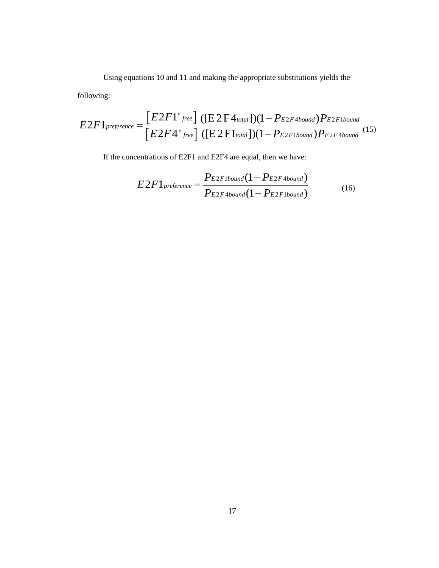Using equations 10 and 11 and making the appropriate substitutions yields the

following:

Using equations 10 and 11 and making the appropriate substitutions yields the  
following:  

$$
E2F1_{prefree} = \frac{[E2F1']_{free}]}{[E2F4']_{free}]} \cdot \frac{([E2F4_{toul}])(1 - P_{E2F4bound})P_{E2F1bound}}{([E2F1_{total}])(1 - P_{E2F1bound})P_{E2F4bound}} \cdot (15)
$$
If the concentrations of E2F1 and E2F4 are equal, then we have:  

$$
E2F1_{preference} = \frac{P_{E2F1bound}(1 - P_{E2F1bound})}{P_{E2F4bound}(1 - P_{E2F1bound})} \qquad (16)
$$

If the concentrations of E2F1 and E2F4 are equal, then we have:

$$
E2F1_{preference} = \frac{P_{E2F1bound}(1 - P_{E2F4bound})}{P_{E2F4bound}(1 - P_{E2F1bound})}
$$
(16)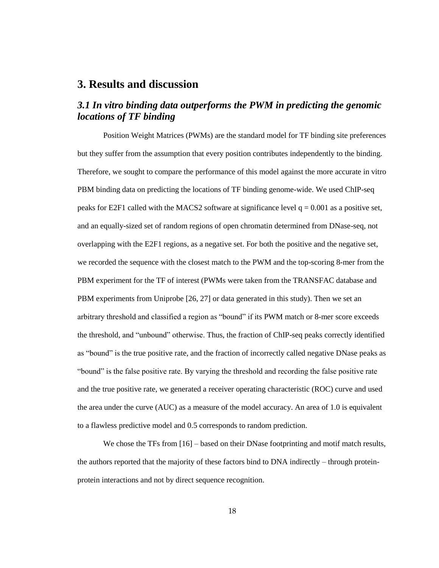### <span id="page-24-0"></span>**3. Results and discussion**

## <span id="page-24-1"></span>*3.1 In vitro binding data outperforms the PWM in predicting the genomic locations of TF binding*

Position Weight Matrices (PWMs) are the standard model for TF binding site preferences but they suffer from the assumption that every position contributes independently to the binding. Therefore, we sought to compare the performance of this model against the more accurate in vitro PBM binding data on predicting the locations of TF binding genome-wide. We used ChIP-seq peaks for E2F1 called with the MACS2 software at significance level  $q = 0.001$  as a positive set, and an equally-sized set of random regions of open chromatin determined from DNase-seq, not overlapping with the E2F1 regions, as a negative set. For both the positive and the negative set, we recorded the sequence with the closest match to the PWM and the top-scoring 8-mer from the PBM experiment for the TF of interest (PWMs were taken from the TRANSFAC database and PBM experiments from Uniprobe [26, 27] or data generated in this study). Then we set an arbitrary threshold and classified a region as "bound" if its PWM match or 8-mer score exceeds the threshold, and "unbound" otherwise. Thus, the fraction of ChIP-seq peaks correctly identified as "bound" is the true positive rate, and the fraction of incorrectly called negative DNase peaks as "bound" is the false positive rate. By varying the threshold and recording the false positive rate and the true positive rate, we generated a receiver operating characteristic (ROC) curve and used the area under the curve (AUC) as a measure of the model accuracy. An area of 1.0 is equivalent to a flawless predictive model and 0.5 corresponds to random prediction.

We chose the TFs from [16] – based on their DNase footprinting and motif match results, the authors reported that the majority of these factors bind to DNA indirectly – through proteinprotein interactions and not by direct sequence recognition.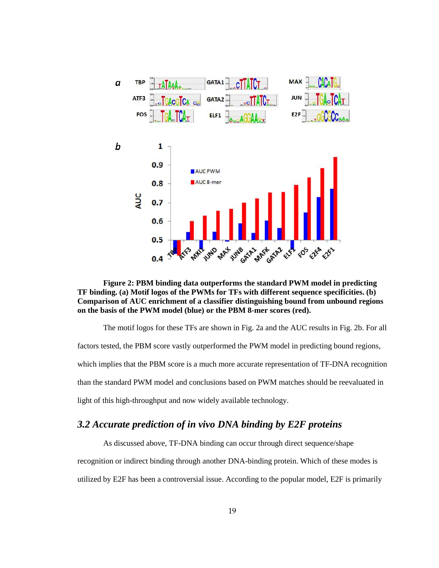

<span id="page-25-1"></span>**Figure 2: PBM binding data outperforms the standard PWM model in predicting TF binding. (a) Motif logos of the PWMs for TFs with different sequence specificities. (b) Comparison of AUC enrichment of a classifier distinguishing bound from unbound regions on the basis of the PWM model (blue) or the PBM 8-mer scores (red).**

The motif logos for these TFs are shown in Fig. 2a and the AUC results in Fig. 2b. For all factors tested, the PBM score vastly outperformed the PWM model in predicting bound regions, which implies that the PBM score is a much more accurate representation of TF-DNA recognition than the standard PWM model and conclusions based on PWM matches should be reevaluated in light of this high-throughput and now widely available technology.

#### <span id="page-25-0"></span>*3.2 Accurate prediction of in vivo DNA binding by E2F proteins*

As discussed above, TF-DNA binding can occur through direct sequence/shape recognition or indirect binding through another DNA-binding protein. Which of these modes is utilized by E2F has been a controversial issue. According to the popular model, E2F is primarily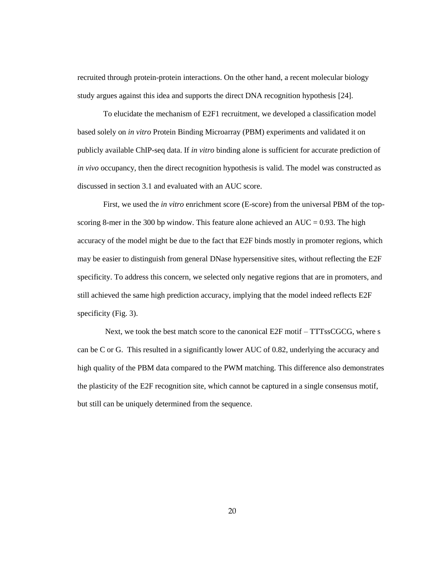recruited through protein-protein interactions. On the other hand, a recent molecular biology study argues against this idea and supports the direct DNA recognition hypothesis [24].

To elucidate the mechanism of E2F1 recruitment, we developed a classification model based solely on *in vitro* Protein Binding Microarray (PBM) experiments and validated it on publicly available ChIP-seq data. If *in vitro* binding alone is sufficient for accurate prediction of *in vivo* occupancy, then the direct recognition hypothesis is valid. The model was constructed as discussed in section 3.1 and evaluated with an AUC score.

First, we used the *in vitro* enrichment score (E-score) from the universal PBM of the topscoring 8-mer in the 300 bp window. This feature alone achieved an  $AUC = 0.93$ . The high accuracy of the model might be due to the fact that E2F binds mostly in promoter regions, which may be easier to distinguish from general DNase hypersensitive sites, without reflecting the E2F specificity. To address this concern, we selected only negative regions that are in promoters, and still achieved the same high prediction accuracy, implying that the model indeed reflects E2F specificity (Fig. 3).

Next, we took the best match score to the canonical E2F motif – TTTssCGCG, where s can be C or G. This resulted in a significantly lower AUC of 0.82, underlying the accuracy and high quality of the PBM data compared to the PWM matching. This difference also demonstrates the plasticity of the E2F recognition site, which cannot be captured in a single consensus motif, but still can be uniquely determined from the sequence.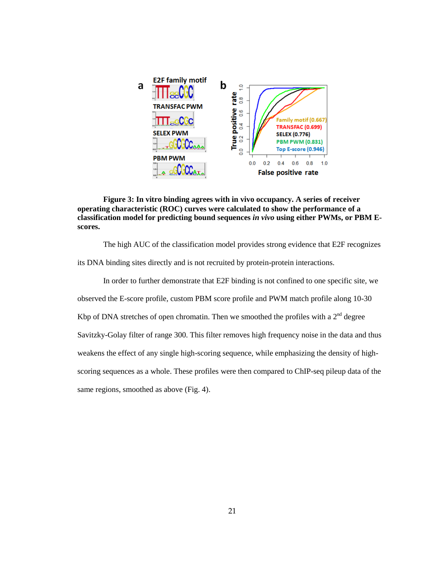

<span id="page-27-0"></span>**Figure 3: In vitro binding agrees with in vivo occupancy. A series of receiver operating characteristic (ROC) curves were calculated to show the performance of a classification model for predicting bound sequences** *in vivo* **using either PWMs, or PBM Escores.**

The high AUC of the classification model provides strong evidence that E2F recognizes its DNA binding sites directly and is not recruited by protein-protein interactions.

In order to further demonstrate that E2F binding is not confined to one specific site, we observed the E-score profile, custom PBM score profile and PWM match profile along 10-30 Kbp of DNA stretches of open chromatin. Then we smoothed the profiles with a  $2<sup>nd</sup>$  degree Savitzky-Golay filter of range 300. This filter removes high frequency noise in the data and thus weakens the effect of any single high-scoring sequence, while emphasizing the density of highscoring sequences as a whole. These profiles were then compared to ChIP-seq pileup data of the same regions, smoothed as above (Fig. 4).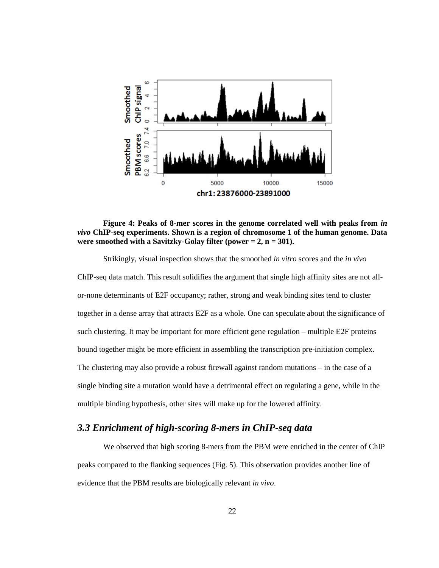

<span id="page-28-1"></span>

Strikingly, visual inspection shows that the smoothed *in vitro* scores and the *in vivo* ChIP-seq data match. This result solidifies the argument that single high affinity sites are not allor-none determinants of E2F occupancy; rather, strong and weak binding sites tend to cluster together in a dense array that attracts E2F as a whole. One can speculate about the significance of such clustering. It may be important for more efficient gene regulation – multiple E2F proteins bound together might be more efficient in assembling the transcription pre-initiation complex. The clustering may also provide a robust firewall against random mutations – in the case of a single binding site a mutation would have a detrimental effect on regulating a gene, while in the multiple binding hypothesis, other sites will make up for the lowered affinity.

## <span id="page-28-0"></span>*3.3 Enrichment of high-scoring 8-mers in ChIP-seq data*

We observed that high scoring 8-mers from the PBM were enriched in the center of ChIP peaks compared to the flanking sequences (Fig. 5). This observation provides another line of evidence that the PBM results are biologically relevant *in vivo*.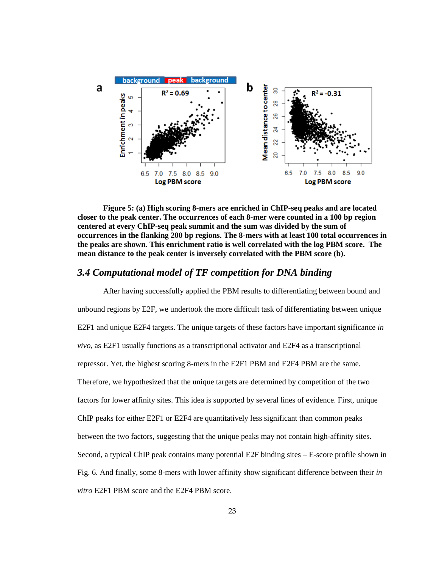

<span id="page-29-1"></span>**Figure 5: (a) High scoring 8-mers are enriched in ChIP-seq peaks and are located closer to the peak center. The occurrences of each 8-mer were counted in a 100 bp region centered at every ChIP-seq peak summit and the sum was divided by the sum of occurrences in the flanking 200 bp regions. The 8-mers with at least 100 total occurrences in the peaks are shown. This enrichment ratio is well correlated with the log PBM score. The mean distance to the peak center is inversely correlated with the PBM score (b).** 

#### <span id="page-29-0"></span>*3.4 Computational model of TF competition for DNA binding*

After having successfully applied the PBM results to differentiating between bound and unbound regions by E2F, we undertook the more difficult task of differentiating between unique E2F1 and unique E2F4 targets. The unique targets of these factors have important significance *in vivo*, as E2F1 usually functions as a transcriptional activator and E2F4 as a transcriptional repressor. Yet, the highest scoring 8-mers in the E2F1 PBM and E2F4 PBM are the same. Therefore, we hypothesized that the unique targets are determined by competition of the two factors for lower affinity sites. This idea is supported by several lines of evidence. First, unique ChIP peaks for either E2F1 or E2F4 are quantitatively less significant than common peaks between the two factors, suggesting that the unique peaks may not contain high-affinity sites. Second, a typical ChIP peak contains many potential E2F binding sites – E-score profile shown in Fig. 6. And finally, some 8-mers with lower affinity show significant difference between their *in vitro* E2F1 PBM score and the E2F4 PBM score.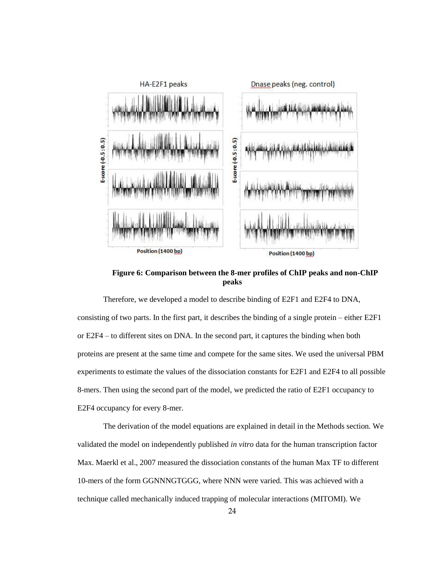

**Figure 6: Comparison between the 8-mer profiles of ChIP peaks and non-ChIP peaks**

<span id="page-30-0"></span>Therefore, we developed a model to describe binding of E2F1 and E2F4 to DNA, consisting of two parts. In the first part, it describes the binding of a single protein – either E2F1 or E2F4 – to different sites on DNA. In the second part, it captures the binding when both proteins are present at the same time and compete for the same sites. We used the universal PBM experiments to estimate the values of the dissociation constants for E2F1 and E2F4 to all possible 8-mers. Then using the second part of the model, we predicted the ratio of E2F1 occupancy to E2F4 occupancy for every 8-mer.

The derivation of the model equations are explained in detail in the Methods section. We validated the model on independently published *in vitro* data for the human transcription factor Max. Maerkl et al., 2007 measured the dissociation constants of the human Max TF to different 10-mers of the form GGNNNGTGGG, where NNN were varied. This was achieved with a technique called mechanically induced trapping of molecular interactions (MITOMI). We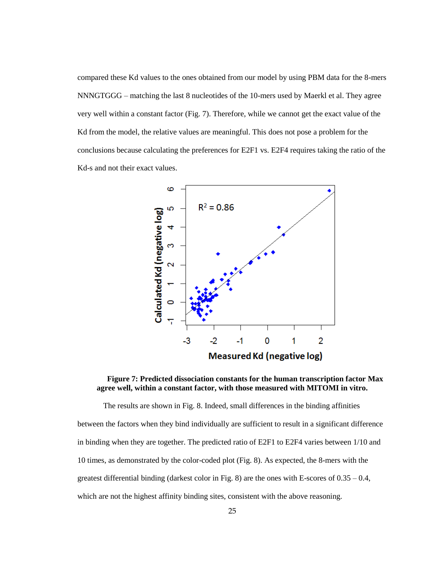compared these Kd values to the ones obtained from our model by using PBM data for the 8-mers NNNGTGGG – matching the last 8 nucleotides of the 10-mers used by Maerkl et al. They agree very well within a constant factor (Fig. 7). Therefore, while we cannot get the exact value of the Kd from the model, the relative values are meaningful. This does not pose a problem for the conclusions because calculating the preferences for E2F1 vs. E2F4 requires taking the ratio of the Kd-s and not their exact values.



<span id="page-31-0"></span>**Figure 7: Predicted dissociation constants for the human transcription factor Max agree well, within a constant factor, with those measured with MITOMI in vitro.**

The results are shown in Fig. 8. Indeed, small differences in the binding affinities between the factors when they bind individually are sufficient to result in a significant difference in binding when they are together. The predicted ratio of E2F1 to E2F4 varies between 1/10 and 10 times, as demonstrated by the color-coded plot (Fig. 8). As expected, the 8-mers with the greatest differential binding (darkest color in Fig. 8) are the ones with E-scores of  $0.35 - 0.4$ , which are not the highest affinity binding sites, consistent with the above reasoning.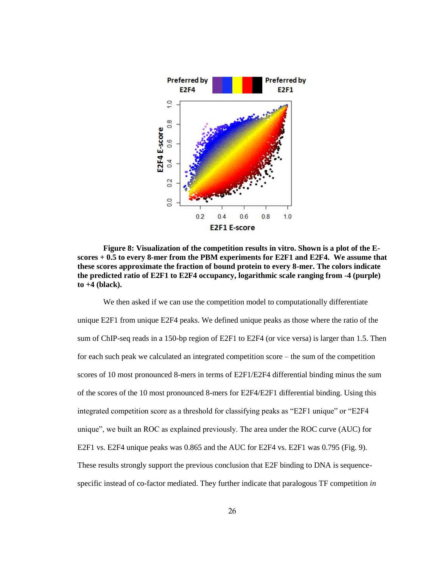

<span id="page-32-0"></span>**Figure 8: Visualization of the competition results in vitro. Shown is a plot of the Escores + 0.5 to every 8-mer from the PBM experiments for E2F1 and E2F4. We assume that these scores approximate the fraction of bound protein to every 8-mer. The colors indicate the predicted ratio of E2F1 to E2F4 occupancy, logarithmic scale ranging from -4 (purple) to +4 (black).**

We then asked if we can use the competition model to computationally differentiate unique E2F1 from unique E2F4 peaks. We defined unique peaks as those where the ratio of the sum of ChIP-seq reads in a 150-bp region of E2F1 to E2F4 (or vice versa) is larger than 1.5. Then for each such peak we calculated an integrated competition score – the sum of the competition scores of 10 most pronounced 8-mers in terms of E2F1/E2F4 differential binding minus the sum of the scores of the 10 most pronounced 8-mers for E2F4/E2F1 differential binding. Using this integrated competition score as a threshold for classifying peaks as "E2F1 unique" or "E2F4 unique", we built an ROC as explained previously. The area under the ROC curve (AUC) for E2F1 vs. E2F4 unique peaks was 0.865 and the AUC for E2F4 vs. E2F1 was 0.795 (Fig. 9). These results strongly support the previous conclusion that E2F binding to DNA is sequencespecific instead of co-factor mediated. They further indicate that paralogous TF competition *in*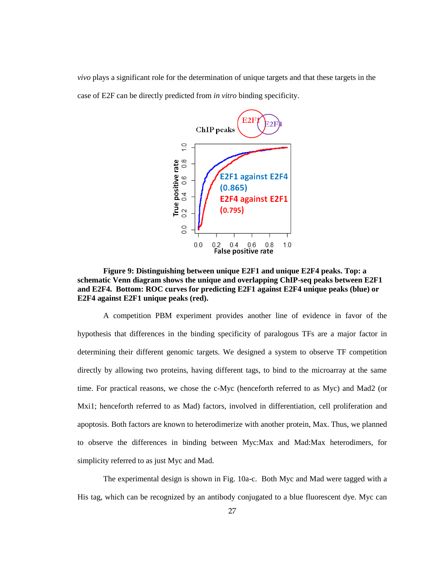*vivo* plays a significant role for the determination of unique targets and that these targets in the case of E2F can be directly predicted from *in vitro* binding specificity.



<span id="page-33-0"></span>**Figure 9: Distinguishing between unique E2F1 and unique E2F4 peaks. Top: a schematic Venn diagram shows the unique and overlapping ChIP-seq peaks between E2F1 and E2F4. Bottom: ROC curves for predicting E2F1 against E2F4 unique peaks (blue) or E2F4 against E2F1 unique peaks (red).**

A competition PBM experiment provides another line of evidence in favor of the hypothesis that differences in the binding specificity of paralogous TFs are a major factor in determining their different genomic targets. We designed a system to observe TF competition directly by allowing two proteins, having different tags, to bind to the microarray at the same time. For practical reasons, we chose the c-Myc (henceforth referred to as Myc) and Mad2 (or Mxi1; henceforth referred to as Mad) factors, involved in differentiation, cell proliferation and apoptosis. Both factors are known to heterodimerize with another protein, Max. Thus, we planned to observe the differences in binding between Myc:Max and Mad:Max heterodimers, for simplicity referred to as just Myc and Mad.

The experimental design is shown in Fig. 10a-c. Both Myc and Mad were tagged with a His tag, which can be recognized by an antibody conjugated to a blue fluorescent dye. Myc can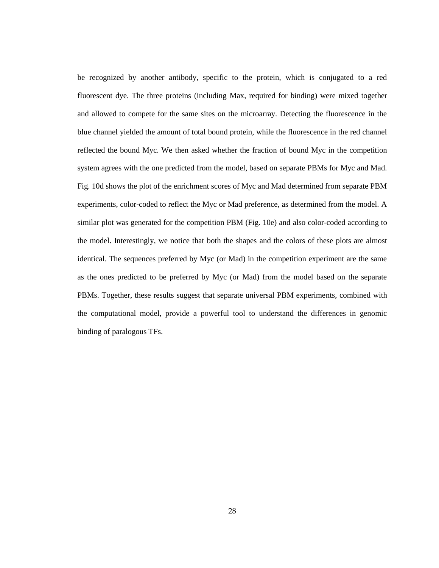be recognized by another antibody, specific to the protein, which is conjugated to a red fluorescent dye. The three proteins (including Max, required for binding) were mixed together and allowed to compete for the same sites on the microarray. Detecting the fluorescence in the blue channel yielded the amount of total bound protein, while the fluorescence in the red channel reflected the bound Myc. We then asked whether the fraction of bound Myc in the competition system agrees with the one predicted from the model, based on separate PBMs for Myc and Mad. Fig. 10d shows the plot of the enrichment scores of Myc and Mad determined from separate PBM experiments, color-coded to reflect the Myc or Mad preference, as determined from the model. A similar plot was generated for the competition PBM (Fig. 10e) and also color-coded according to the model. Interestingly, we notice that both the shapes and the colors of these plots are almost identical. The sequences preferred by Myc (or Mad) in the competition experiment are the same as the ones predicted to be preferred by Myc (or Mad) from the model based on the separate PBMs. Together, these results suggest that separate universal PBM experiments, combined with the computational model, provide a powerful tool to understand the differences in genomic binding of paralogous TFs.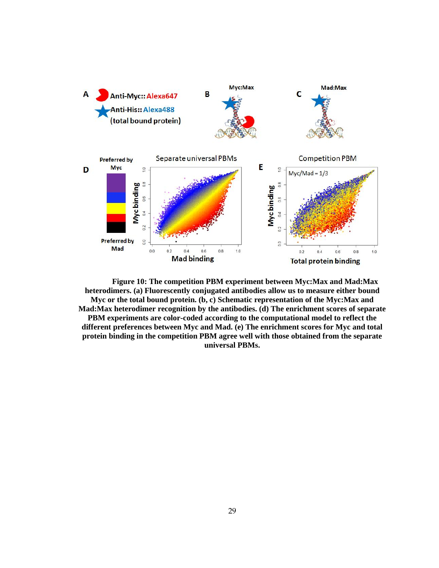

**Figure 10: The competition PBM experiment between Myc:Max and Mad:Max heterodimers. (a) Fluorescently conjugated antibodies allow us to measure either bound Myc or the total bound protein. (b, c) Schematic representation of the Myc:Max and Mad:Max heterodimer recognition by the antibodies. (d) The enrichment scores of separate PBM experiments are color-coded according to the computational model to reflect the different preferences between Myc and Mad. (e) The enrichment scores for Myc and total protein binding in the competition PBM agree well with those obtained from the separate universal PBMs.**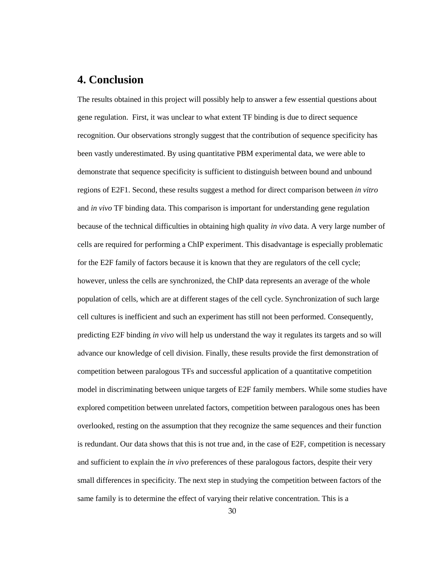## <span id="page-36-0"></span>**4. Conclusion**

The results obtained in this project will possibly help to answer a few essential questions about gene regulation. First, it was unclear to what extent TF binding is due to direct sequence recognition. Our observations strongly suggest that the contribution of sequence specificity has been vastly underestimated. By using quantitative PBM experimental data, we were able to demonstrate that sequence specificity is sufficient to distinguish between bound and unbound regions of E2F1. Second, these results suggest a method for direct comparison between *in vitro* and *in vivo* TF binding data. This comparison is important for understanding gene regulation because of the technical difficulties in obtaining high quality *in vivo* data. A very large number of cells are required for performing a ChIP experiment. This disadvantage is especially problematic for the E2F family of factors because it is known that they are regulators of the cell cycle; however, unless the cells are synchronized, the ChIP data represents an average of the whole population of cells, which are at different stages of the cell cycle. Synchronization of such large cell cultures is inefficient and such an experiment has still not been performed. Consequently, predicting E2F binding *in vivo* will help us understand the way it regulates its targets and so will advance our knowledge of cell division. Finally, these results provide the first demonstration of competition between paralogous TFs and successful application of a quantitative competition model in discriminating between unique targets of E2F family members. While some studies have explored competition between unrelated factors, competition between paralogous ones has been overlooked, resting on the assumption that they recognize the same sequences and their function is redundant. Our data shows that this is not true and, in the case of E2F, competition is necessary and sufficient to explain the *in vivo* preferences of these paralogous factors, despite their very small differences in specificity. The next step in studying the competition between factors of the same family is to determine the effect of varying their relative concentration. This is a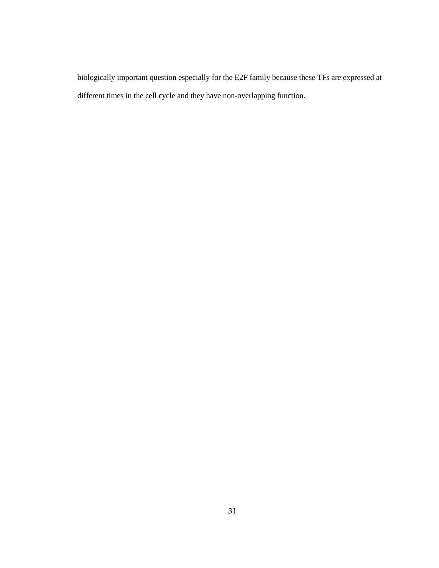biologically important question especially for the E2F family because these TFs are expressed at different times in the cell cycle and they have non-overlapping function.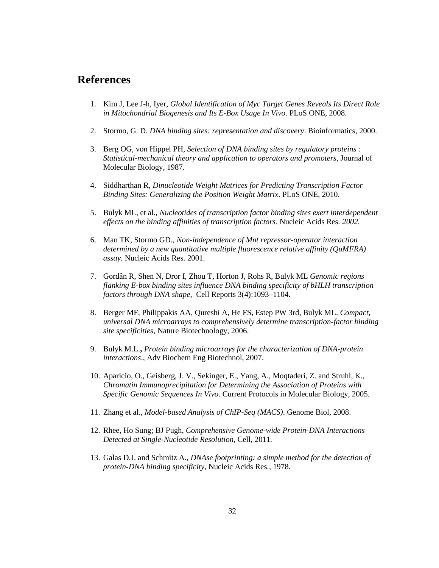## <span id="page-38-0"></span>**References**

- 1. Kim J, Lee J-h, Iyer, *Global Identification of Myc Target Genes Reveals Its Direct Role in Mitochondrial Biogenesis and Its E-Box Usage In Vivo*. PLoS ONE, 2008.
- 2. Stormo, G. D. *DNA binding sites: representation and discovery*. Bioinformatics, 2000.
- 3. Berg OG, von Hippel PH, *Selection of DNA binding sites by regulatory proteins : Statistical-mechanical theory and application to operators and promoters*, Journal of Molecular Biology, 1987.
- 4. Siddharthan R, *Dinucleotide Weight Matrices for Predicting Transcription Factor Binding Sites: Generalizing the Position Weight Matrix*. PLoS ONE, 2010.
- 5. Bulyk ML, et al., *Nucleotides of transcription factor binding sites exert interdependent effects on the binding affinities of transcription factors.* Nucleic Acids Res*. 2002.*
- 6. Man TK, Stormo GD*., Non-independence of Mnt repressor-operator interaction determined by a new quantitative multiple fluorescence relative affinity (QuMFRA) assay.* Nucleic Acids Res*.* 2001.
- 7. Gordân R, Shen N, Dror I, Zhou T, Horton J, Rohs R, Bulyk ML *Genomic regions flanking E-box binding sites influence DNA binding specificity of bHLH transcription factors through DNA shape*, Cell Reports 3(4):1093–1104.
- 8. Berger MF, Philippakis AA, Qureshi A, He FS, Estep PW 3rd, Bulyk ML. *Compact, universal DNA microarrays to comprehensively determine transcription-factor binding site specificities*, Nature Biotechnology, 2006.
- 9. Bulyk M.L.**,** *Protein binding microarrays for the characterization of DNA-protein interactions*., Adv Biochem Eng Biotechnol, 2007.
- 10. Aparicio, O., Geisberg, J. V., Sekinger, E., Yang, A., Moqtaderi, Z. and Struhl, K., *Chromatin Immunoprecipitation for Determining the Association of Proteins with Specific Genomic Sequences In Vivo*. Current Protocols in Molecular Biology, 2005.
- 11. Zhang et al., *Model-based Analysis of ChIP-Seq (MACS)*. Genome Biol, 2008.
- 12. Rhee, Ho Sung; BJ Pugh, *Comprehensive Genome-wide Protein-DNA Interactions Detected at Single-Nucleotide Resolution*, Cell, 2011*.*
- 13. Galas D.J. and Schmitz A., *DNAse footprinting: a simple method for the detection of protein-DNA binding specificity*, Nucleic Acids Res., 1978.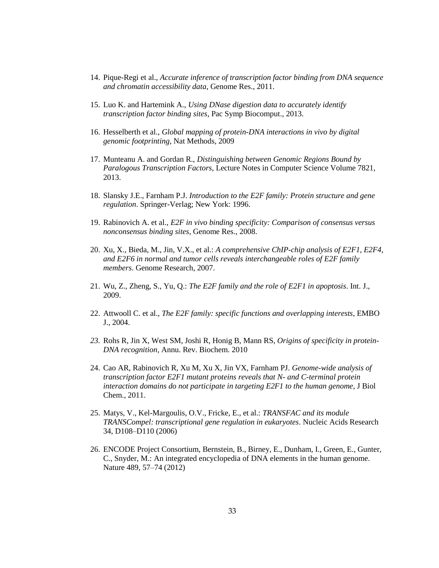- 14. Pique-Regi et al., *Accurate inference of transcription factor binding from DNA sequence and chromatin accessibility data*, Genome Res., 2011.
- 15. Luo K. and Hartemink A., *Using DNase digestion data to accurately identify transcription factor binding sites*, Pac Symp Biocomput., 2013.
- 16. Hesselberth et al., *Global mapping of protein-DNA interactions in vivo by digital genomic footprinting*, Nat Methods, 2009
- 17. Munteanu A. and Gordan R., *Distinguishing between Genomic Regions Bound by Paralogous Transcription Factors*, Lecture Notes in Computer Science Volume 7821, 2013.
- 18. Slansky J.E., Farnham P.J. *Introduction to the E2F family: Protein structure and gene regulation*. Springer-Verlag; New York: 1996.
- 19. Rabinovich A. et al., *E2F in vivo binding specificity: Comparison of consensus versus nonconsensus binding sites*, Genome Res., 2008.
- 20. Xu, X., Bieda, M., Jin, V.X., et al.: *A comprehensive ChIP-chip analysis of E2F1, E2F4, and E2F6 in normal and tumor cells reveals interchangeable roles of E2F family members*. Genome Research, 2007.
- 21. Wu, Z., Zheng, S., Yu, Q.: *The E2F family and the role of E2F1 in apoptosis*. Int. J., 2009.
- 22. Attwooll C. et al., *The E2F family: specific functions and overlapping interests*, EMBO J., 2004.
- *23.* Rohs R, Jin X, West SM, Joshi R, Honig B, Mann RS, *Origins of specificity in protein-DNA recognition,* Annu. Rev. Biochem. 2010
- 24. Cao AR, Rabinovich R, Xu M, Xu X, Jin VX, Farnham PJ*. Genome-wide analysis of transcription factor E2F1 mutant proteins reveals that N- and C-terminal protein interaction domains do not participate in targeting E2F1 to the human genome*, J Biol Chem., 2011.
- 25. Matys, V., Kel-Margoulis, O.V., Fricke, E., et al.: *TRANSFAC and its module TRANSCompel: transcriptional gene regulation in eukaryotes*. Nucleic Acids Research 34, D108–D110 (2006)
- 26. ENCODE Project Consortium, Bernstein, B., Birney, E., Dunham, I., Green, E., Gunter, C., Snyder, M.: An integrated encyclopedia of DNA elements in the human genome. Nature 489, 57–74 (2012)